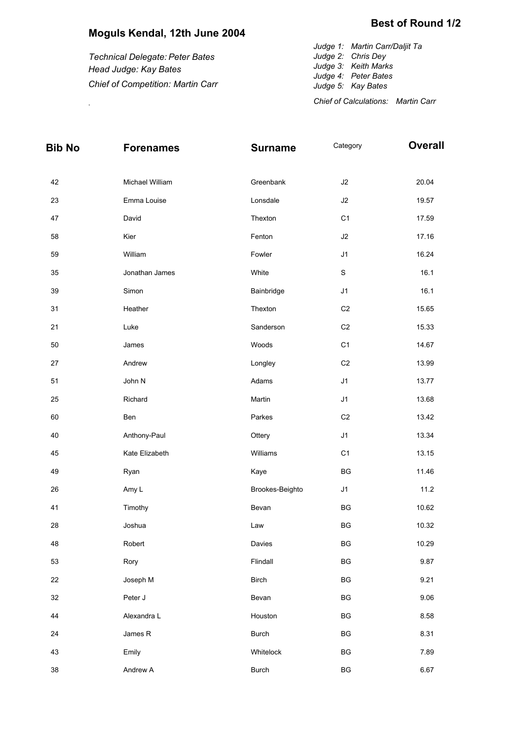## **Moguls Kendal, 12th June 2004**

*Technical Delegate: Peter Bates Head Judge: Kay Bates Chief of Competition: Martin Carr* *Judge 1: Martin Carr/Daljit Ta* **Best of Round 1/2**

*Judge 2: Chris Dey Judge 3: Keith Marks Judge 4: Peter Bates Judge 5: Kay Bates Chief of Calculations: Martin Carr* .

| <b>Bib No</b> | <b>Forenames</b> | <b>Surname</b>  | Category               | <b>Overall</b> |
|---------------|------------------|-----------------|------------------------|----------------|
| 42            | Michael William  | Greenbank       | J2                     | 20.04          |
| 23            | Emma Louise      | Lonsdale        | J2                     | 19.57          |
|               | David            | Thexton         | C <sub>1</sub>         |                |
| 47            |                  |                 |                        | 17.59          |
| 58            | Kier             | Fenton          | J2                     | 17.16          |
| 59            | William          | Fowler          | J1                     | 16.24          |
| 35            | Jonathan James   | White           | $\mathbf S$            | 16.1           |
| 39            | Simon            | Bainbridge      | J1                     | 16.1           |
| 31            | Heather          | Thexton         | C <sub>2</sub>         | 15.65          |
| 21            | Luke             | Sanderson       | C <sub>2</sub>         | 15.33          |
| 50            | James            | Woods           | C <sub>1</sub>         | 14.67          |
| 27            | Andrew           | Longley         | C <sub>2</sub>         | 13.99          |
| 51            | John N           | Adams           | J1                     | 13.77          |
| 25            | Richard          | Martin          | J1                     | 13.68          |
| 60            | Ben              | Parkes          | C <sub>2</sub>         | 13.42          |
| 40            | Anthony-Paul     | Ottery          | J1                     | 13.34          |
| 45            | Kate Elizabeth   | Williams        | C <sub>1</sub>         | 13.15          |
| 49            | Ryan             | Kaye            | BG                     | 11.46          |
| 26            | Amy L            | Brookes-Beighto | J1                     | 11.2           |
| 41            | Timothy          | Bevan           | BG                     | 10.62          |
| 28            | Joshua           | Law             | BG                     | 10.32          |
| 48            | Robert           | Davies          | BG                     | 10.29          |
| 53            | Rory             | Flindall        | BG                     | 9.87           |
| 22            | Joseph M         | Birch           | BG                     | 9.21           |
| 32            | Peter J          | Bevan           | BG                     | 9.06           |
| 44            | Alexandra L      | Houston         | BG                     | 8.58           |
| 24            | James R          | <b>Burch</b>    | BG                     | 8.31           |
| 43            | Emily            | Whitelock       | $\mathsf{B}\mathsf{G}$ | 7.89           |
| 38            | Andrew A         | <b>Burch</b>    | BG                     | 6.67           |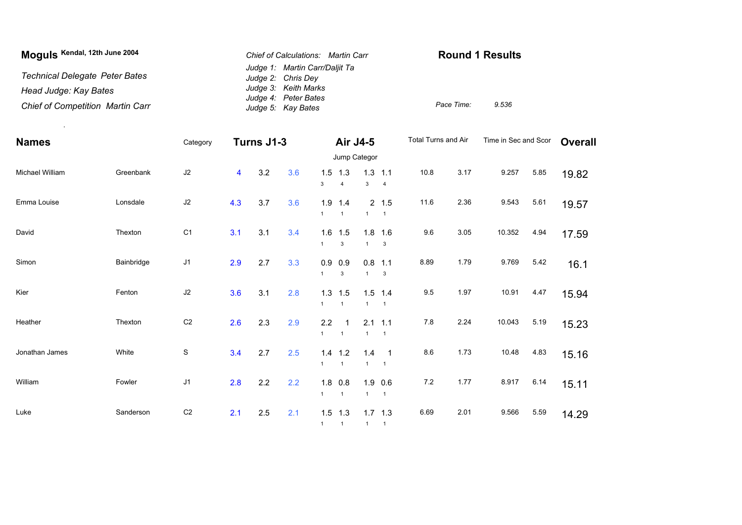| Moguls Kendal, 12th June 2004           | Chief of Calculations: Martin Carr                   | <b>Round 1 Results</b> |       |
|-----------------------------------------|------------------------------------------------------|------------------------|-------|
| <b>Technical Delegate Peter Bates</b>   | Judge 1: Martin Carr/Daljit Ta<br>Judge 2: Chris Dey |                        |       |
| Head Judge: Kay Bates                   | Judge 3: Keith Marks                                 |                        |       |
| <b>Chief of Competition Martin Carr</b> | Judge 4: Peter Bates<br>Judge 5: Kay Bates           | Pace Time:             | 9.536 |

| <b>Names</b>    |            | Category       | Turns J1-3              |     |     | Air J4-5            |                           |                     | Total Turns and Air                          |      | Time in Sec and Scor |        | <b>Overall</b> |       |  |
|-----------------|------------|----------------|-------------------------|-----|-----|---------------------|---------------------------|---------------------|----------------------------------------------|------|----------------------|--------|----------------|-------|--|
|                 |            |                |                         |     |     | Jump Categor        |                           |                     |                                              |      |                      |        |                |       |  |
| Michael William | Greenbank  | J2             | $\overline{\mathbf{4}}$ | 3.2 | 3.6 | 1.5<br>3            | 1.3<br>$\overline{4}$     | 3                   | $1.3$ 1.1<br>$\overline{4}$                  | 10.8 | 3.17                 | 9.257  | 5.85           | 19.82 |  |
| Emma Louise     | Lonsdale   | J2             | 4.3                     | 3.7 | 3.6 | 1.9<br>$\mathbf{1}$ | 1.4<br>$\overline{1}$     | $\mathbf{1}$        | 2 1.5<br>$\overline{1}$                      | 11.6 | 2.36                 | 9.543  | 5.61           | 19.57 |  |
| David           | Thexton    | C <sub>1</sub> | 3.1                     | 3.1 | 3.4 | 1.6<br>$\mathbf{1}$ | 1.5<br>$\mathbf{3}$       | 1.8<br>$\mathbf{1}$ | 1.6<br>$\mathbf 3$                           | 9.6  | 3.05                 | 10.352 | 4.94           | 17.59 |  |
| Simon           | Bainbridge | J <sub>1</sub> | 2.9                     | 2.7 | 3.3 | 0.9<br>$\mathbf{1}$ | 0.9<br>3                  | $\mathbf{1}$        | $0.8$ 1.1<br>3                               | 8.89 | 1.79                 | 9.769  | 5.42           | 16.1  |  |
| Kier            | Fenton     | J2             | 3.6                     | 3.1 | 2.8 | $\mathbf{1}$        | $1.3$ 1.5<br>$\mathbf{1}$ | $\mathbf{1}$        | $1.5$ 1.4<br>$\overline{1}$                  | 9.5  | 1.97                 | 10.91  | 4.47           | 15.94 |  |
| Heather         | Thexton    | C <sub>2</sub> | 2.6                     | 2.3 | 2.9 | 2.2<br>$\mathbf{1}$ | $\overline{1}$            | $\mathbf{1}$        | $2.1$ 1.1<br>$\overline{1}$                  | 7.8  | 2.24                 | 10.043 | 5.19           | 15.23 |  |
| Jonathan James  | White      | S              | 3.4                     | 2.7 | 2.5 | 1.4<br>$\mathbf{1}$ | 1.2<br>$\overline{1}$     | 1.4<br>$\mathbf{1}$ | $\overline{\phantom{0}}$ 1<br>$\overline{1}$ | 8.6  | 1.73                 | 10.48  | 4.83           | 15.16 |  |
| William         | Fowler     | J <sub>1</sub> | 2.8                     | 2.2 | 2.2 | 1.8<br>$\mathbf{1}$ | 0.8<br>$\overline{1}$     | $\mathbf{1}$        | $1.9$ 0.6<br>$\overline{1}$                  | 7.2  | 1.77                 | 8.917  | 6.14           | 15.11 |  |
| Luke            | Sanderson  | C <sub>2</sub> | 2.1                     | 2.5 | 2.1 | $1 \quad 1$         | $1.5$ 1.3                 | 1 1                 | $1.7$ 1.3                                    | 6.69 | 2.01                 | 9.566  | 5.59           | 14.29 |  |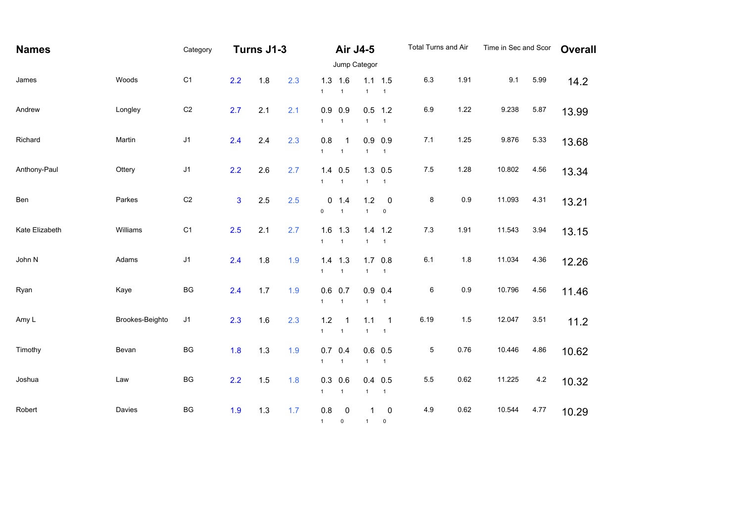| <b>Names</b>   |                 | Category       | Turns J1-3   |       | Air J4-5 |                           |                             | <b>Total Turns and Air</b> |                                 | Time in Sec and Scor |      | <b>Overall</b> |         |       |  |
|----------------|-----------------|----------------|--------------|-------|----------|---------------------------|-----------------------------|----------------------------|---------------------------------|----------------------|------|----------------|---------|-------|--|
|                |                 |                | Jump Categor |       |          |                           |                             |                            |                                 |                      |      |                |         |       |  |
| James          | Woods           | C <sub>1</sub> | 2.2          | 1.8   | 2.3      | $\mathbf{1}$              | $1.3$ 1.6<br>$\mathbf{1}$   | $\mathbf{1}$               | $1.1 \quad 1.5$<br>$\mathbf{1}$ | $6.3\,$              | 1.91 | 9.1            | 5.99    | 14.2  |  |
| Andrew         | Longley         | C <sub>2</sub> | 2.7          | 2.1   | 2.1      | $\mathbf{1}$              | $0.9$ 0.9<br>$\overline{1}$ | $\mathbf{1}$               | $0.5$ 1.2<br>$\mathbf{1}$       | 6.9                  | 1.22 | 9.238          | 5.87    | 13.99 |  |
| Richard        | Martin          | $\sf J1$       | 2.4          | 2.4   | 2.3      | 0.8<br>$\mathbf{1}$       | -1<br>$\mathbf{1}$          | $\mathbf{1}$               | $0.9$ 0.9<br>$\mathbf{1}$       | 7.1                  | 1.25 | 9.876          | 5.33    | 13.68 |  |
| Anthony-Paul   | Ottery          | J <sub>1</sub> | 2.2          | 2.6   | 2.7      | $\mathbf{1}$              | $1.4$ 0.5<br>$\mathbf{1}$   | 1.3<br>$\mathbf{1}$        | 0.5<br>$\mathbf{1}$             | $7.5\,$              | 1.28 | 10.802         | 4.56    | 13.34 |  |
| Ben            | Parkes          | C <sub>2</sub> | $\mathbf{3}$ | 2.5   | 2.5      | $\mathsf{O}\xspace$       | 0 1.4<br>$\mathbf{1}$       | 1.2<br>$\mathbf{1}$        | $\pmb{0}$<br>$\pmb{0}$          | 8                    | 0.9  | 11.093         | 4.31    | 13.21 |  |
| Kate Elizabeth | Williams        | C <sub>1</sub> | 2.5          | 2.1   | 2.7      | 1.6<br>$\mathbf{1}$       | 1.3<br>$\mathbf{1}$         | 1.4<br>$\mathbf{1}$        | 1.2<br>$\mathbf{1}$             | $7.3$                | 1.91 | 11.543         | 3.94    | 13.15 |  |
| John N         | Adams           | J <sub>1</sub> | 2.4          | 1.8   | 1.9      | 1.4<br>$\mathbf{1}$       | 1.3<br>$\mathbf{1}$         | 1.7<br>$\mathbf{1}$        | 0.8<br>$\overline{1}$           | 6.1                  | 1.8  | 11.034         | 4.36    | 12.26 |  |
| Ryan           | Kaye            | BG             | 2.4          | 1.7   | 1.9      | $\mathbf{1}$              | $0.6$ 0.7<br>$\mathbf{1}$   | 0.9<br>$\mathbf{1}$        | 0.4<br>$\mathbf{1}$             | $\,6$                | 0.9  | 10.796         | 4.56    | 11.46 |  |
| Amy L          | Brookes-Beighto | J1             | 2.3          | 1.6   | 2.3      | 1.2<br>$\mathbf{1}$       | -1<br>$\mathbf{1}$          | 1.1<br>$\mathbf{1}$        | $\mathbf{1}$<br>$\mathbf{1}$    | 6.19                 | 1.5  | 12.047         | 3.51    | 11.2  |  |
| Timothy        | Bevan           | BG             | 1.8          | $1.3$ | 1.9      | $\mathbf{1}$              | $0.7$ 0.4<br>$\mathbf{1}$   | $\mathbf{1}$               | $0.6$ 0.5<br>$\mathbf{1}$       | $\mathbf 5$          | 0.76 | 10.446         | 4.86    | 10.62 |  |
| Joshua         | Law             | BG             | 2.2          | 1.5   | 1.8      | $\mathbf{1}$              | $0.3$ 0.6<br>$\mathbf{1}$   | 0.4<br>$\mathbf{1}$        | 0.5<br>$\mathbf{1}$             | 5.5                  | 0.62 | 11.225         | $4.2\,$ | 10.32 |  |
| Robert         | Davies          | BG             | 1.9          | 1.3   | 1.7      | $0.8\,$<br>$1 \quad \Box$ | $\pmb{0}$<br>0              | 1<br>1                     | $\pmb{0}$<br>$\mathbf 0$        | 4.9                  | 0.62 | 10.544         | 4.77    | 10.29 |  |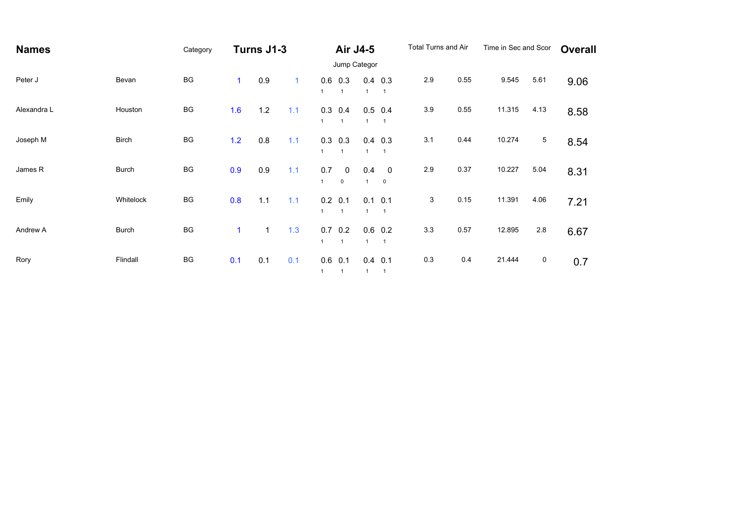| <b>Names</b> |              | Category |              | Turns J1-3   |              | <b>Air J4-5</b>             |                            | Total Turns and Air |                                         | Time in Sec and Scor | <b>Overall</b> |        |      |      |
|--------------|--------------|----------|--------------|--------------|--------------|-----------------------------|----------------------------|---------------------|-----------------------------------------|----------------------|----------------|--------|------|------|
|              |              |          |              |              |              | Jump Categor                |                            |                     |                                         |                      |                |        |      |      |
| Peter J      | Bevan        | BG       | $\mathbf{1}$ | 0.9          | $\mathbf{1}$ | $\overline{1}$              | $0.6$ 0.3                  | $\mathbf{1}$        | $0.4$ 0.3<br>$\overline{1}$             | 2.9                  | 0.55           | 9.545  | 5.61 | 9.06 |
| Alexandra L  | Houston      | BG       | 1.6          | 1.2          | 1.1          | $\overline{1}$              | $0.3$ 0.4                  | $\mathbf{1}$        | $0.5$ 0.4<br>$\overline{1}$             | 3.9                  | 0.55           | 11.315 | 4.13 | 8.58 |
| Joseph M     | <b>Birch</b> | BG       | 1.2          | 0.8          | 1.1          | $\mathbf{1}$                | $0.3$ 0.3<br>$\mathbf{1}$  | $\mathbf{1}$        | $0.4$ 0.3<br>$\overline{1}$             | 3.1                  | 0.44           | 10.274 | 5    | 8.54 |
| James R      | <b>Burch</b> | BG       | 0.9          | 0.9          | 1.1          | 0.7<br>$\overline{1}$       | $\mathbf 0$<br>$\mathbf 0$ | 0.4<br>$\mathbf{1}$ | $\overline{\phantom{0}}$<br>$\mathbf 0$ | 2.9                  | 0.37           | 10.227 | 5.04 | 8.31 |
| Emily        | Whitelock    | BG       | 0.8          | 1.1          | 1.1          | $0.2$ 0.1<br>$\overline{1}$ | $\mathbf{1}$               | $\mathbf{1}$        | $0.1$ 0.1<br>$\overline{1}$             | 3                    | 0.15           | 11.391 | 4.06 | 7.21 |
| Andrew A     | <b>Burch</b> | BG       | 1            | $\mathbf{1}$ | 1.3          | 0.7<br>$\overline{1}$       | 0.2<br>$\mathbf{1}$        | $\mathbf{1}$        | $0.6$ 0.2<br>$\overline{1}$             | 3.3                  | 0.57           | 12.895 | 2.8  | 6.67 |
| Rory         | Flindall     | BG       | 0.1          | 0.1          | 0.1          | $0.6$ 0.1<br>$1 \quad 1$    |                            | 1 1                 | $0.4$ 0.1                               | 0.3                  | 0.4            | 21.444 | 0    | 0.7  |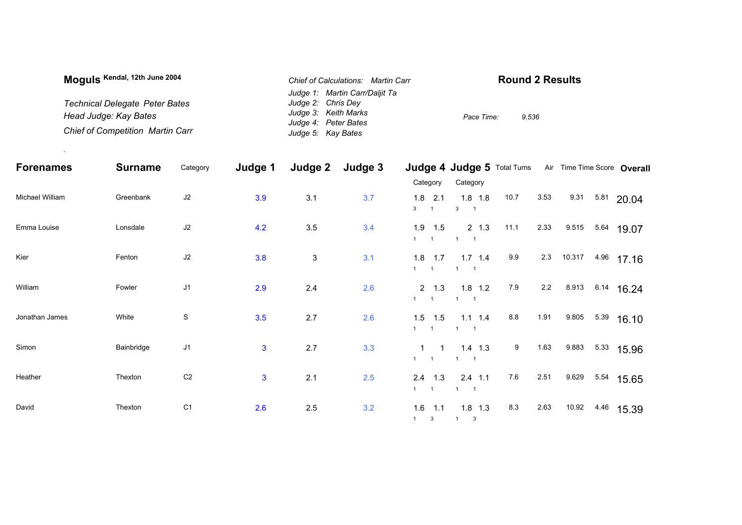| Moguls Kendal, 12th June 2004           | Chief of Calculations: Martin Carr | <b>Round 2 Results</b> |
|-----------------------------------------|------------------------------------|------------------------|
|                                         | Judge 1: Martin Carr/Daliit Ta     |                        |
| <b>Technical Delegate Peter Bates</b>   | Judge 2: Chris Dey                 |                        |
| Head Judge: Kay Bates                   | Judge 3: Keith Marks               | 9.536<br>Pace Time:    |
|                                         | Judge 4: Peter Bates               |                        |
| <b>Chief of Competition Martin Carr</b> | Judge 5: Kay Bates                 |                        |

.

| <b>Forenames</b> | <b>Surname</b> | Category       | Judge 1        | Judge 2                   | Judge 3 |                                                | Judge 4 Judge 5 Total Turns Air Time Time Score Overall |      |      |                  |      |                  |
|------------------|----------------|----------------|----------------|---------------------------|---------|------------------------------------------------|---------------------------------------------------------|------|------|------------------|------|------------------|
|                  |                |                |                |                           |         | Category                                       | Category                                                |      |      |                  |      |                  |
| Michael William  | Greenbank      | J2             | 3.9            | 3.1                       | 3.7     | 1.8<br>2.1<br>3<br>$\overline{1}$              | $1.8$ 1.8<br>$\mathbf{3}$                               | 10.7 | 3.53 | 9.31             |      | 5.81 20.04       |
| Emma Louise      | Lonsdale       | J2             | 4.2            | 3.5                       | 3.4     | 1.9<br>1.5<br>$\overline{1}$<br>$\overline{1}$ | $2 \t1.3$<br>$\overline{1}$                             | 11.1 | 2.33 | 9.515            | 5.64 | 19.07            |
| Kier             | Fenton         | J2             | 3.8            | $\ensuremath{\mathsf{3}}$ | 3.1     | $1.8$ 1.7<br>1<br>$\overline{1}$               | $1.7$ 1.4<br>$\mathbf{1}$                               | 9.9  | 2.3  | 10.317           |      | 4.96 17.16       |
| William          | Fowler         | J1             | 2.9            | 2.4                       | 2.6     | $2 \t 1.3$<br>1<br>$\overline{1}$              | $1.8$ 1.2<br>$1 \quad 1$                                | 7.9  | 2.2  | 8.913 6.14 16.24 |      |                  |
| Jonathan James   | White          | ${\mathbb S}$  | 3.5            | 2.7                       | 2.6     | 1.5<br>1.5<br>1<br>$\overline{1}$              | $1.1$ $1.4$<br>$1 \quad 1$                              | 8.8  | 1.91 | 9.805            | 5.39 | 16.10            |
| Simon            | Bainbridge     | J1             | $\mathbf{3}$   | 2.7                       | 3.3     | $1 \quad 1$<br>1<br>$\overline{\phantom{0}}$   | $1.4$ 1.3<br>$\overline{1}$                             | 9    | 1.63 | 9.883            |      | $5.33$ 15.96     |
| Heather          | Thexton        | C <sub>2</sub> | $\overline{3}$ | 2.1                       | 2.5     | $2.4$ 1.3<br>$\overline{1}$<br>$\overline{1}$  | $2.4$ 1.1<br>$\mathbf{1}$<br>$\overline{\phantom{0}}$ 1 | 7.6  | 2.51 |                  |      | 9.629 5.54 15.65 |
| David            | Thexton        | C <sub>1</sub> | 2.6            | 2.5                       | 3.2     | 1.6<br>1.1<br>$1 \quad 3$                      | $1.8$ 1.3<br>1 3                                        | 8.3  | 2.63 | 10.92            | 4.46 | 15.39            |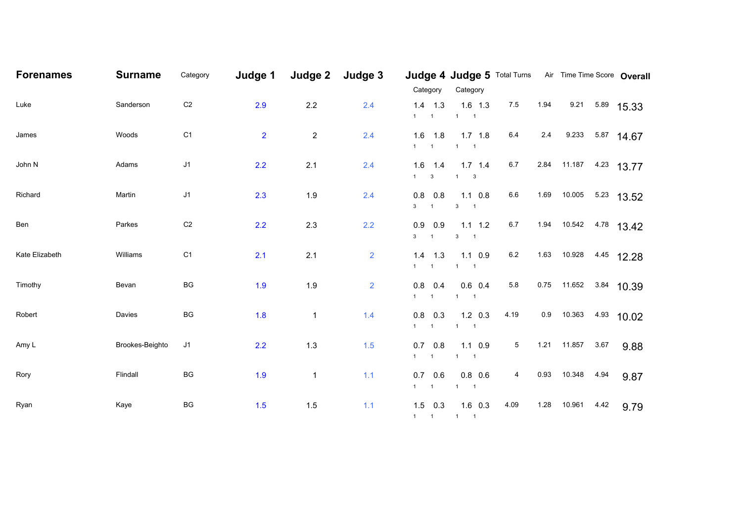| <b>Forenames</b> | <b>Surname</b>  | Category       | Judge 1        | Judge 2        | Judge 3        | Category                                    | Judge 4 Judge 5 Total Turns Air Time Time Score Overall<br>Category |      |      |                        |      |                 |
|------------------|-----------------|----------------|----------------|----------------|----------------|---------------------------------------------|---------------------------------------------------------------------|------|------|------------------------|------|-----------------|
| Luke             | Sanderson       | $\mbox{C2}$    | 2.9            | 2.2            | 2.4            | $1.4$ 1.3<br>$1 \quad 1$                    | $1.6$ 1.3<br>$1 \quad 1$                                            | 7.5  | 1.94 |                        |      | 9.21 5.89 15.33 |
| James            | Woods           | C <sub>1</sub> | $\overline{2}$ | $\overline{c}$ | 2.4            | $1.6$ 1.8<br>$1 \qquad 1 \qquad$            | $1.7$ 1.8<br>$1 \quad 1$                                            | 6.4  |      | 2.4 9.233 5.87 14.67   |      |                 |
| John N           | Adams           | $\sf J1$       | 2.2            | 2.1            | 2.4            | 1.6<br>1.4<br>$1 \qquad 3$                  | $1.7$ 1.4<br>$1 \qquad 3$                                           | 6.7  |      | 2.84 11.187 4.23 13.77 |      |                 |
| Richard          | Martin          | J <sub>1</sub> | 2.3            | 1.9            | 2.4            | 0.8<br>0.8<br>$3 \quad 1$                   | $1.1 \t0.8$<br>$3 \qquad 1$                                         | 6.6  | 1.69 | 10.005                 |      | $5.23$ 13.52    |
| Ben              | Parkes          | $\mbox{C2}$    | 2.2            | 2.3            | 2.2            | $0.9$ 0.9<br>$3 \quad 1$                    | $1.1 \quad 1.2$<br>$3 \qquad 1$                                     | 6.7  |      | 1.94 10.542 4.78 13.42 |      |                 |
| Kate Elizabeth   | Williams        | C <sub>1</sub> | 2.1            | 2.1            | $\overline{2}$ | 1.4<br>1.3<br>$1 \quad 1 \quad$             | $1.1 \t0.9$<br>$1 \quad 1$                                          | 6.2  |      | 1.63 10.928 4.45 12.28 |      |                 |
| Timothy          | Bevan           | BG             | 1.9            | 1.9            | $\overline{2}$ | 0.8<br>0.4<br>$1 \quad 1 \quad$             | $0.6$ 0.4<br>$1 \quad 1$                                            | 5.8  |      | 0.75 11.652 3.84 10.39 |      |                 |
| Robert           | Davies          | BG             | 1.8            | $\mathbf{1}$   | 1.4            | 0.8<br>0.3<br>$1 \quad 1$                   | $1.2 \quad 0.3$<br>$1 \quad 1$                                      | 4.19 | 0.9  | 10.363 4.93 10.02      |      |                 |
| Amy L            | Brookes-Beighto | J <sub>1</sub> | 2.2            | 1.3            | $1.5$          | $0.7$ 0.8<br>$1 \quad 1$                    | $1.1 \t0.9$<br>$1 \quad 1$                                          | 5    |      | 1.21  11.857  3.67     |      | 9.88            |
| Rory             | Flindall        | BG             | 1.9            | 1              | 1.1            | $0.7\quad 0.6$<br>$1 \quad 1 \quad$         | $0.8\ 0.6$<br>$1 \quad 1$                                           | 4    | 0.93 | 10.348                 | 4.94 | 9.87            |
| Ryan             | Kaye            | BG             | 1.5            | 1.5            | $1.1$          | $1.5$ 0.3<br>$1 \qquad 1 \qquad 1 \qquad 1$ | $1.6$ 0.3                                                           | 4.09 | 1.28 | 10.961                 | 4.42 | 9.79            |